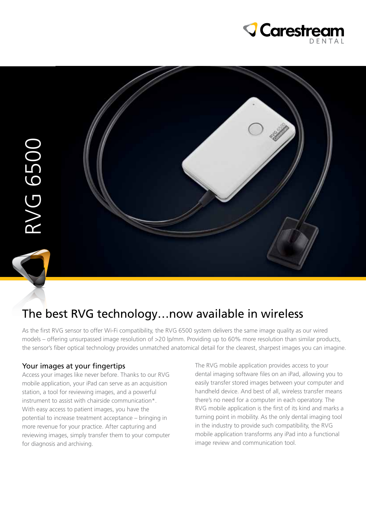



# The best RVG technology…now available in wireless

As the first RVG sensor to offer Wi-Fi compatibility, the RVG 6500 system delivers the same image quality as our wired models – offering unsurpassed image resolution of >20 lp/mm. Providing up to 60% more resolution than similar products, the sensor's fiber optical technology provides unmatched anatomical detail for the clearest, sharpest images you can imagine.

#### Your images at your fingertips

Access your images like never before. Thanks to our RVG mobile application, your iPad can serve as an acquisition station, a tool for reviewing images, and a powerful instrument to assist with chairside communication\*. With easy access to patient images, you have the potential to increase treatment acceptance – bringing in more revenue for your practice. After capturing and reviewing images, simply transfer them to your computer for diagnosis and archiving.

The RVG mobile application provides access to your dental imaging software files on an iPad, allowing you to easily transfer stored images between your computer and handheld device. And best of all, wireless transfer means there's no need for a computer in each operatory. The RVG mobile application is the first of its kind and marks a turning point in mobility. As the only dental imaging tool in the industry to provide such compatibility, the RVG mobile application transforms any iPad into a functional image review and communication tool.